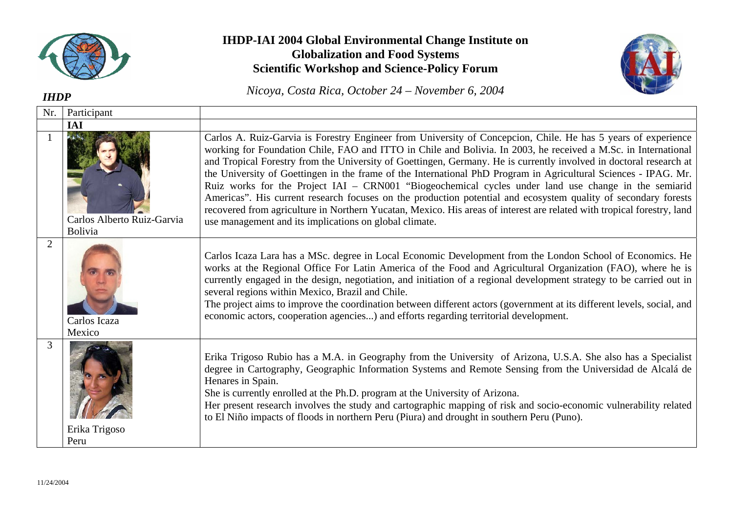

## **IHDP-IAI 2004 Global Environmental Change Institute on Globalization and Food Systems Scientific Workshop and Science-Policy Forum**





| <b>IHDP</b>    |                                              | $1$ NICOYA, COSIA KICA, OCIODET $24 - 1$ NOVEMDET 0, 2004                                                                                                                                                                                                                                                                                                                                                                                                                                                                                                                                                                                                                                                                                                                                                                                                                              |
|----------------|----------------------------------------------|----------------------------------------------------------------------------------------------------------------------------------------------------------------------------------------------------------------------------------------------------------------------------------------------------------------------------------------------------------------------------------------------------------------------------------------------------------------------------------------------------------------------------------------------------------------------------------------------------------------------------------------------------------------------------------------------------------------------------------------------------------------------------------------------------------------------------------------------------------------------------------------|
| Nr.            | Participant                                  |                                                                                                                                                                                                                                                                                                                                                                                                                                                                                                                                                                                                                                                                                                                                                                                                                                                                                        |
|                | <b>IAI</b>                                   |                                                                                                                                                                                                                                                                                                                                                                                                                                                                                                                                                                                                                                                                                                                                                                                                                                                                                        |
|                | Carlos Alberto Ruiz-Garvia<br><b>Bolivia</b> | Carlos A. Ruiz-Garvia is Forestry Engineer from University of Concepcion, Chile. He has 5 years of experience<br>working for Foundation Chile, FAO and ITTO in Chile and Bolivia. In 2003, he received a M.Sc. in International<br>and Tropical Forestry from the University of Goettingen, Germany. He is currently involved in doctoral research at<br>the University of Goettingen in the frame of the International PhD Program in Agricultural Sciences - IPAG. Mr.<br>Ruiz works for the Project IAI - CRN001 "Biogeochemical cycles under land use change in the semiarid<br>Americas". His current research focuses on the production potential and ecosystem quality of secondary forests<br>recovered from agriculture in Northern Yucatan, Mexico. His areas of interest are related with tropical forestry, land<br>use management and its implications on global climate. |
| $\overline{2}$ | Carlos Icaza<br>Mexico                       | Carlos Icaza Lara has a MSc. degree in Local Economic Development from the London School of Economics. He<br>works at the Regional Office For Latin America of the Food and Agricultural Organization (FAO), where he is<br>currently engaged in the design, negotiation, and initiation of a regional development strategy to be carried out in<br>several regions within Mexico, Brazil and Chile.<br>The project aims to improve the coordination between different actors (government at its different levels, social, and<br>economic actors, cooperation agencies) and efforts regarding territorial development.                                                                                                                                                                                                                                                                |
| 3              | Erika Trigoso<br>Peru                        | Erika Trigoso Rubio has a M.A. in Geography from the University of Arizona, U.S.A. She also has a Specialist<br>degree in Cartography, Geographic Information Systems and Remote Sensing from the Universidad de Alcalá de<br>Henares in Spain.<br>She is currently enrolled at the Ph.D. program at the University of Arizona.<br>Her present research involves the study and cartographic mapping of risk and socio-economic vulnerability related<br>to El Niño impacts of floods in northern Peru (Piura) and drought in southern Peru (Puno).                                                                                                                                                                                                                                                                                                                                     |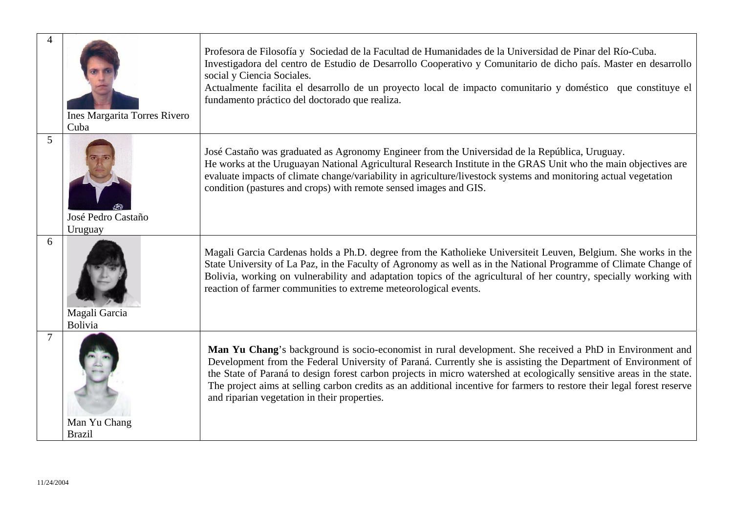| 4              | <b>Ines Margarita Torres Rivero</b><br>Cuba | Profesora de Filosofía y Sociedad de la Facultad de Humanidades de la Universidad de Pinar del Río-Cuba.<br>Investigadora del centro de Estudio de Desarrollo Cooperativo y Comunitario de dicho país. Master en desarrollo<br>social y Ciencia Sociales.<br>Actualmente facilita el desarrollo de un proyecto local de impacto comunitario y doméstico que constituye el<br>fundamento práctico del doctorado que realiza.                                                                                                    |
|----------------|---------------------------------------------|--------------------------------------------------------------------------------------------------------------------------------------------------------------------------------------------------------------------------------------------------------------------------------------------------------------------------------------------------------------------------------------------------------------------------------------------------------------------------------------------------------------------------------|
| 5              | José Pedro Castaño<br>Uruguay               | José Castaño was graduated as Agronomy Engineer from the Universidad de la República, Uruguay.<br>He works at the Uruguayan National Agricultural Research Institute in the GRAS Unit who the main objectives are<br>evaluate impacts of climate change/variability in agriculture/livestock systems and monitoring actual vegetation<br>condition (pastures and crops) with remote sensed images and GIS.                                                                                                                     |
| 6              | Magali Garcia<br>Bolivia                    | Magali Garcia Cardenas holds a Ph.D. degree from the Katholieke Universiteit Leuven, Belgium. She works in the<br>State University of La Paz, in the Faculty of Agronomy as well as in the National Programme of Climate Change of<br>Bolivia, working on vulnerability and adaptation topics of the agricultural of her country, specially working with<br>reaction of farmer communities to extreme meteorological events.                                                                                                   |
| $\overline{7}$ | Man Yu Chang<br><b>Brazil</b>               | Man Yu Chang's background is socio-economist in rural development. She received a PhD in Environment and<br>Development from the Federal University of Paraná. Currently she is assisting the Department of Environment of<br>the State of Paraná to design forest carbon projects in micro watershed at ecologically sensitive areas in the state.<br>The project aims at selling carbon credits as an additional incentive for farmers to restore their legal forest reserve<br>and riparian vegetation in their properties. |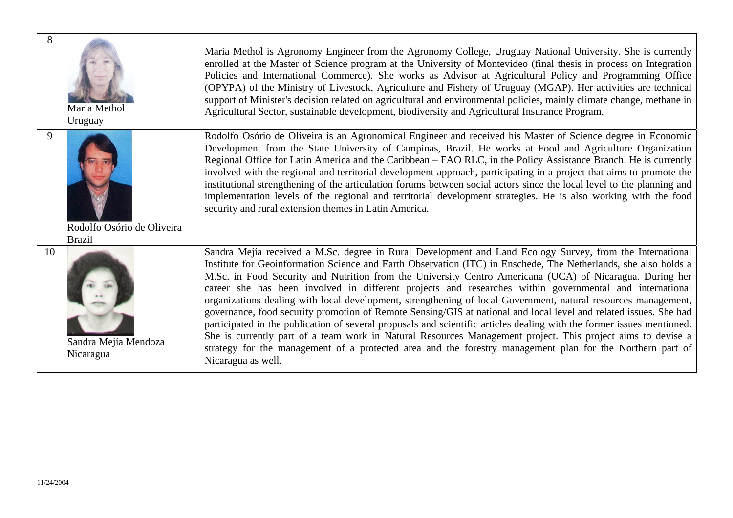| 8  | Maria Methol<br>Uruguay                     | Maria Methol is Agronomy Engineer from the Agronomy College, Uruguay National University. She is currently<br>enrolled at the Master of Science program at the University of Montevideo (final thesis in process on Integration<br>Policies and International Commerce). She works as Advisor at Agricultural Policy and Programming Office<br>(OPYPA) of the Ministry of Livestock, Agriculture and Fishery of Uruguay (MGAP). Her activities are technical<br>support of Minister's decision related on agricultural and environmental policies, mainly climate change, methane in<br>Agricultural Sector, sustainable development, biodiversity and Agricultural Insurance Program.                                                                                                                                                                                                                                                                                                                                                                                 |
|----|---------------------------------------------|------------------------------------------------------------------------------------------------------------------------------------------------------------------------------------------------------------------------------------------------------------------------------------------------------------------------------------------------------------------------------------------------------------------------------------------------------------------------------------------------------------------------------------------------------------------------------------------------------------------------------------------------------------------------------------------------------------------------------------------------------------------------------------------------------------------------------------------------------------------------------------------------------------------------------------------------------------------------------------------------------------------------------------------------------------------------|
| 9  | Rodolfo Osório de Oliveira<br><b>Brazil</b> | Rodolfo Osório de Oliveira is an Agronomical Engineer and received his Master of Science degree in Economic<br>Development from the State University of Campinas, Brazil. He works at Food and Agriculture Organization<br>Regional Office for Latin America and the Caribbean – FAO RLC, in the Policy Assistance Branch. He is currently<br>involved with the regional and territorial development approach, participating in a project that aims to promote the<br>institutional strengthening of the articulation forums between social actors since the local level to the planning and<br>implementation levels of the regional and territorial development strategies. He is also working with the food<br>security and rural extension themes in Latin America.                                                                                                                                                                                                                                                                                                |
| 10 | Sandra Mejía Mendoza<br>Nicaragua           | Sandra Mejía received a M.Sc. degree in Rural Development and Land Ecology Survey, from the International<br>Institute for Geoinformation Science and Earth Observation (ITC) in Enschede, The Netherlands, she also holds a<br>M.Sc. in Food Security and Nutrition from the University Centro Americana (UCA) of Nicaragua. During her<br>career she has been involved in different projects and researches within governmental and international<br>organizations dealing with local development, strengthening of local Government, natural resources management,<br>governance, food security promotion of Remote Sensing/GIS at national and local level and related issues. She had<br>participated in the publication of several proposals and scientific articles dealing with the former issues mentioned.<br>She is currently part of a team work in Natural Resources Management project. This project aims to devise a<br>strategy for the management of a protected area and the forestry management plan for the Northern part of<br>Nicaragua as well. |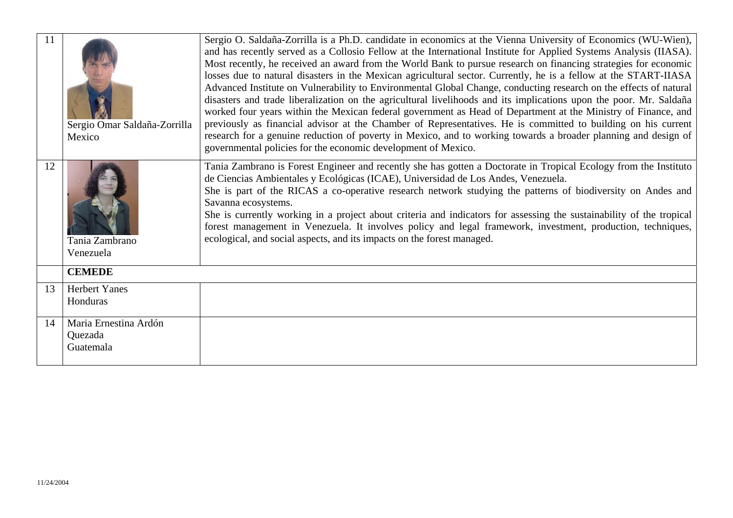| <sup>11</sup> | Sergio Omar Saldaña-Zorrilla<br>Mexico        | Sergio O. Saldaña-Zorrilla is a Ph.D. candidate in economics at the Vienna University of Economics (WU-Wien),<br>and has recently served as a Collosio Fellow at the International Institute for Applied Systems Analysis (IIASA).<br>Most recently, he received an award from the World Bank to pursue research on financing strategies for economic<br>losses due to natural disasters in the Mexican agricultural sector. Currently, he is a fellow at the START-IIASA<br>Advanced Institute on Vulnerability to Environmental Global Change, conducting research on the effects of natural<br>disasters and trade liberalization on the agricultural livelihoods and its implications upon the poor. Mr. Saldaña<br>worked four years within the Mexican federal government as Head of Department at the Ministry of Finance, and<br>previously as financial advisor at the Chamber of Representatives. He is committed to building on his current<br>research for a genuine reduction of poverty in Mexico, and to working towards a broader planning and design of<br>governmental policies for the economic development of Mexico. |
|---------------|-----------------------------------------------|-------------------------------------------------------------------------------------------------------------------------------------------------------------------------------------------------------------------------------------------------------------------------------------------------------------------------------------------------------------------------------------------------------------------------------------------------------------------------------------------------------------------------------------------------------------------------------------------------------------------------------------------------------------------------------------------------------------------------------------------------------------------------------------------------------------------------------------------------------------------------------------------------------------------------------------------------------------------------------------------------------------------------------------------------------------------------------------------------------------------------------------------|
| 12            | Tania Zambrano<br>Venezuela                   | Tania Zambrano is Forest Engineer and recently she has gotten a Doctorate in Tropical Ecology from the Instituto<br>de Ciencias Ambientales y Ecológicas (ICAE), Universidad de Los Andes, Venezuela.<br>She is part of the RICAS a co-operative research network studying the patterns of biodiversity on Andes and<br>Savanna ecosystems.<br>She is currently working in a project about criteria and indicators for assessing the sustainability of the tropical<br>forest management in Venezuela. It involves policy and legal framework, investment, production, techniques,<br>ecological, and social aspects, and its impacts on the forest managed.                                                                                                                                                                                                                                                                                                                                                                                                                                                                              |
|               | <b>CEMEDE</b>                                 |                                                                                                                                                                                                                                                                                                                                                                                                                                                                                                                                                                                                                                                                                                                                                                                                                                                                                                                                                                                                                                                                                                                                           |
| 13            | <b>Herbert Yanes</b><br>Honduras              |                                                                                                                                                                                                                                                                                                                                                                                                                                                                                                                                                                                                                                                                                                                                                                                                                                                                                                                                                                                                                                                                                                                                           |
| 14            | Maria Ernestina Ardón<br>Quezada<br>Guatemala |                                                                                                                                                                                                                                                                                                                                                                                                                                                                                                                                                                                                                                                                                                                                                                                                                                                                                                                                                                                                                                                                                                                                           |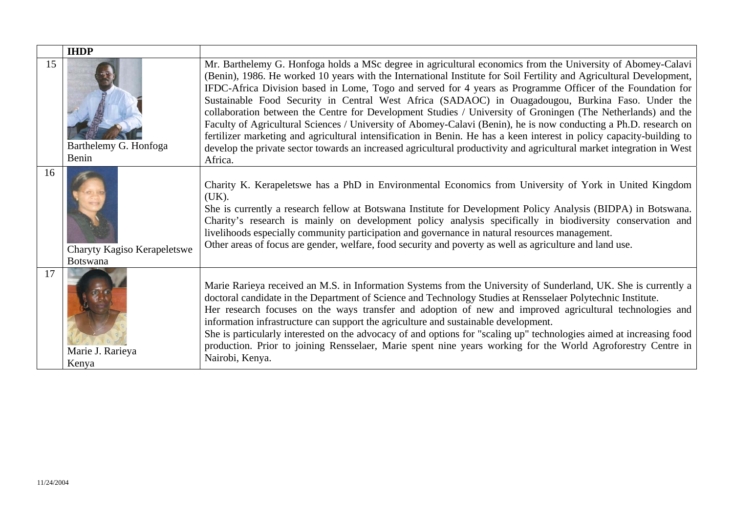|    | <b>IHDP</b>                                    |                                                                                                                                                                                                                                                                                                                                                                                                                                                                                                                                                                                                                                                                                                                                                                                                                                                                                                                                                        |
|----|------------------------------------------------|--------------------------------------------------------------------------------------------------------------------------------------------------------------------------------------------------------------------------------------------------------------------------------------------------------------------------------------------------------------------------------------------------------------------------------------------------------------------------------------------------------------------------------------------------------------------------------------------------------------------------------------------------------------------------------------------------------------------------------------------------------------------------------------------------------------------------------------------------------------------------------------------------------------------------------------------------------|
| 15 | Barthelemy G. Honfoga<br>Benin                 | Mr. Barthelemy G. Honfoga holds a MSc degree in agricultural economics from the University of Abomey-Calavi<br>(Benin), 1986. He worked 10 years with the International Institute for Soil Fertility and Agricultural Development,<br>IFDC-Africa Division based in Lome, Togo and served for 4 years as Programme Officer of the Foundation for<br>Sustainable Food Security in Central West Africa (SADAOC) in Ouagadougou, Burkina Faso. Under the<br>collaboration between the Centre for Development Studies / University of Groningen (The Netherlands) and the<br>Faculty of Agricultural Sciences / University of Abomey-Calavi (Benin), he is now conducting a Ph.D. research on<br>fertilizer marketing and agricultural intensification in Benin. He has a keen interest in policy capacity-building to<br>develop the private sector towards an increased agricultural productivity and agricultural market integration in West<br>Africa. |
| 16 | Charyty Kagiso Kerapeletswe<br><b>Botswana</b> | Charity K. Kerapeletswe has a PhD in Environmental Economics from University of York in United Kingdom<br>(UK).<br>She is currently a research fellow at Botswana Institute for Development Policy Analysis (BIDPA) in Botswana.<br>Charity's research is mainly on development policy analysis specifically in biodiversity conservation and<br>livelihoods especially community participation and governance in natural resources management.<br>Other areas of focus are gender, welfare, food security and poverty as well as agriculture and land use.                                                                                                                                                                                                                                                                                                                                                                                            |
| 17 | Marie J. Rarieya<br>Kenya                      | Marie Rarieya received an M.S. in Information Systems from the University of Sunderland, UK. She is currently a<br>doctoral candidate in the Department of Science and Technology Studies at Rensselaer Polytechnic Institute.<br>Her research focuses on the ways transfer and adoption of new and improved agricultural technologies and<br>information infrastructure can support the agriculture and sustainable development.<br>She is particularly interested on the advocacy of and options for "scaling up" technologies aimed at increasing food<br>production. Prior to joining Rensselaer, Marie spent nine years working for the World Agroforestry Centre in<br>Nairobi, Kenya.                                                                                                                                                                                                                                                           |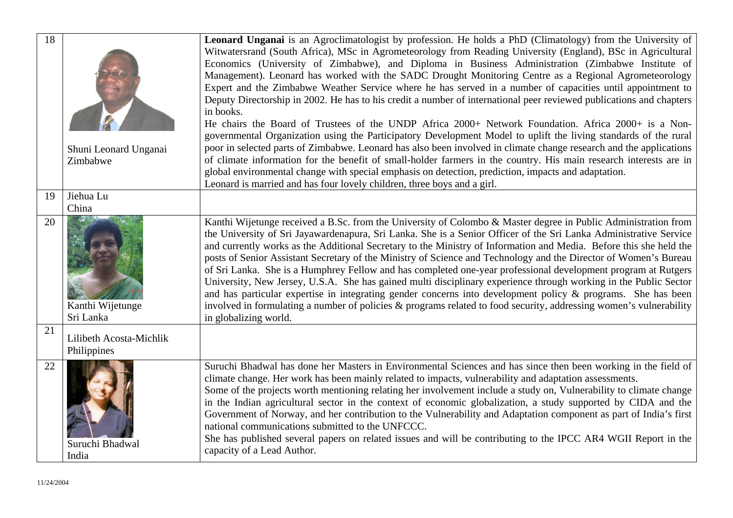| 18 |                                        | Leonard Unganai is an Agroclimatologist by profession. He holds a PhD (Climatology) from the University of                                                                                                                                                                                                                                                                                                                                                                                                                                                                                                                                                                                                                                                                                                                                                                                                                                                                        |
|----|----------------------------------------|-----------------------------------------------------------------------------------------------------------------------------------------------------------------------------------------------------------------------------------------------------------------------------------------------------------------------------------------------------------------------------------------------------------------------------------------------------------------------------------------------------------------------------------------------------------------------------------------------------------------------------------------------------------------------------------------------------------------------------------------------------------------------------------------------------------------------------------------------------------------------------------------------------------------------------------------------------------------------------------|
|    |                                        | Witwatersrand (South Africa), MSc in Agrometeorology from Reading University (England), BSc in Agricultural<br>Economics (University of Zimbabwe), and Diploma in Business Administration (Zimbabwe Institute of                                                                                                                                                                                                                                                                                                                                                                                                                                                                                                                                                                                                                                                                                                                                                                  |
|    |                                        | Management). Leonard has worked with the SADC Drought Monitoring Centre as a Regional Agrometeorology                                                                                                                                                                                                                                                                                                                                                                                                                                                                                                                                                                                                                                                                                                                                                                                                                                                                             |
|    |                                        | Expert and the Zimbabwe Weather Service where he has served in a number of capacities until appointment to                                                                                                                                                                                                                                                                                                                                                                                                                                                                                                                                                                                                                                                                                                                                                                                                                                                                        |
|    |                                        | Deputy Directorship in 2002. He has to his credit a number of international peer reviewed publications and chapters<br>in books.                                                                                                                                                                                                                                                                                                                                                                                                                                                                                                                                                                                                                                                                                                                                                                                                                                                  |
|    |                                        | He chairs the Board of Trustees of the UNDP Africa 2000+ Network Foundation. Africa 2000+ is a Non-                                                                                                                                                                                                                                                                                                                                                                                                                                                                                                                                                                                                                                                                                                                                                                                                                                                                               |
|    |                                        | governmental Organization using the Participatory Development Model to uplift the living standards of the rural                                                                                                                                                                                                                                                                                                                                                                                                                                                                                                                                                                                                                                                                                                                                                                                                                                                                   |
|    | Shuni Leonard Unganai                  | poor in selected parts of Zimbabwe. Leonard has also been involved in climate change research and the applications                                                                                                                                                                                                                                                                                                                                                                                                                                                                                                                                                                                                                                                                                                                                                                                                                                                                |
|    | Zimbabwe                               | of climate information for the benefit of small-holder farmers in the country. His main research interests are in                                                                                                                                                                                                                                                                                                                                                                                                                                                                                                                                                                                                                                                                                                                                                                                                                                                                 |
|    |                                        | global environmental change with special emphasis on detection, prediction, impacts and adaptation.<br>Leonard is married and has four lovely children, three boys and a girl.                                                                                                                                                                                                                                                                                                                                                                                                                                                                                                                                                                                                                                                                                                                                                                                                    |
| 19 | Jiehua Lu                              |                                                                                                                                                                                                                                                                                                                                                                                                                                                                                                                                                                                                                                                                                                                                                                                                                                                                                                                                                                                   |
|    | China                                  |                                                                                                                                                                                                                                                                                                                                                                                                                                                                                                                                                                                                                                                                                                                                                                                                                                                                                                                                                                                   |
| 20 | Kanthi Wijetunge<br>Sri Lanka          | Kanthi Wijetunge received a B.Sc. from the University of Colombo & Master degree in Public Administration from<br>the University of Sri Jayawardenapura, Sri Lanka. She is a Senior Officer of the Sri Lanka Administrative Service<br>and currently works as the Additional Secretary to the Ministry of Information and Media. Before this she held the<br>posts of Senior Assistant Secretary of the Ministry of Science and Technology and the Director of Women's Bureau<br>of Sri Lanka. She is a Humphrey Fellow and has completed one-year professional development program at Rutgers<br>University, New Jersey, U.S.A. She has gained multi disciplinary experience through working in the Public Sector<br>and has particular expertise in integrating gender concerns into development policy & programs. She has been<br>involved in formulating a number of policies & programs related to food security, addressing women's vulnerability<br>in globalizing world. |
| 21 | Lilibeth Acosta-Michlik<br>Philippines |                                                                                                                                                                                                                                                                                                                                                                                                                                                                                                                                                                                                                                                                                                                                                                                                                                                                                                                                                                                   |
| 22 | Suruchi Bhadwal<br>India               | Suruchi Bhadwal has done her Masters in Environmental Sciences and has since then been working in the field of<br>climate change. Her work has been mainly related to impacts, vulnerability and adaptation assessments.<br>Some of the projects worth mentioning relating her involvement include a study on, Vulnerability to climate change<br>in the Indian agricultural sector in the context of economic globalization, a study supported by CIDA and the<br>Government of Norway, and her contribution to the Vulnerability and Adaptation component as part of India's first<br>national communications submitted to the UNFCCC.<br>She has published several papers on related issues and will be contributing to the IPCC AR4 WGII Report in the<br>capacity of a Lead Author.                                                                                                                                                                                          |